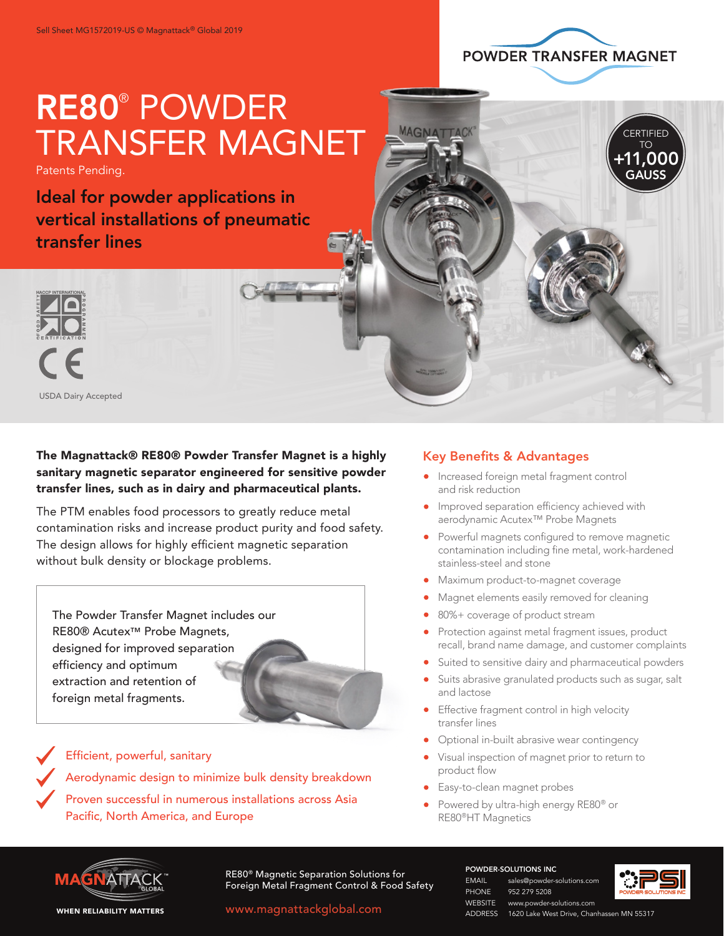

**CERTIFIED** TO +11,000 GAUSS

# RE80® POWDER TRANSFER MAGNET

Patents Pending.

Ideal for powder applications in vertical installations of pneumatic transfer lines



USDA Dairy Accepted



### The Magnattack® RE80® Powder Transfer Magnet is a highly sanitary magnetic separator engineered for sensitive powder transfer lines, such as in dairy and pharmaceutical plants.

The PTM enables food processors to greatly reduce metal contamination risks and increase product purity and food safety. The design allows for highly efficient magnetic separation without bulk density or blockage problems.



 Efficient, powerful, sanitary Aerodynamic design to minimize bulk density breakdown Proven successful in numerous installations across Asia Pacific, North America, and Europe

#### Key Benefits & Advantages

**MAGNATTACK** 

- Increased foreign metal fragment control and risk reduction
- **Improved separation efficiency achieved with** aerodynamic Acutex™ Probe Magnets
- Powerful magnets configured to remove magnetic contamination including fine metal, work-hardened stainless-steel and stone
- **•** Maximum product-to-magnet coverage
- Magnet elements easily removed for cleaning
- 80%+ coverage of product stream
- Protection against metal fragment issues, product recall, brand name damage, and customer complaints
- Suited to sensitive dairy and pharmaceutical powders
- Suits abrasive granulated products such as sugar, salt and lactose
- **Effective fragment control in high velocity** transfer lines
- Optional in-built abrasive wear contingency
- Visual inspection of magnet prior to return to product flow
- Easy-to-clean magnet probes
- Powered by ultra-high energy RE80® or RE80®HT Magnetics



RE80® Magnetic Separation Solutions for **FORM AND THE READ TEAM CONTROL CONTROL** Sales@powder-solutions.com<br>Foreign Metal Fragment Control & Food Safety<br>PHONE 952 279 5208

www.magnattackglobal.com

POWDER-SOLUTIONS INC

952 279 5208

ADDRESS 1620 Lake West Drive, Chanhassen MN 55317